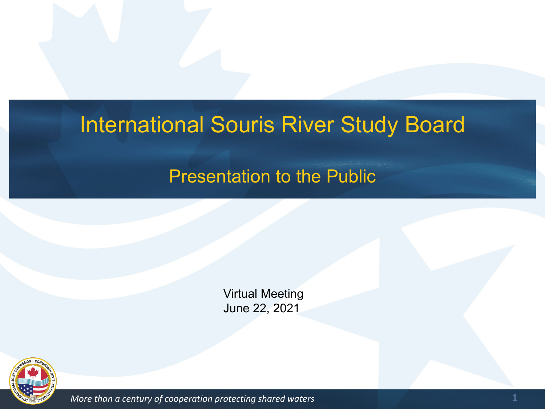#### International Souris River Study Board

#### Presentation to the Public

Virtual Meeting June 22, 2021



*More than a century of cooperation protecting shared waters* **1 1**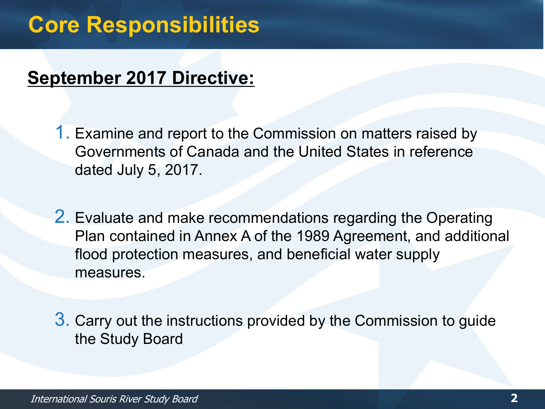### **Core Responsibilities**

#### **September 2017 Directive:**

1. Examine and report to the Commission on matters raised by Governments of Canada and the United States in reference dated July 5, 2017.

2. Evaluate and make recommendations regarding the Operating Plan contained in Annex A of the 1989 Agreement, and additional flood protection measures, and beneficial water supply measures.

3. Carry out the instructions provided by the Commission to guide the Study Board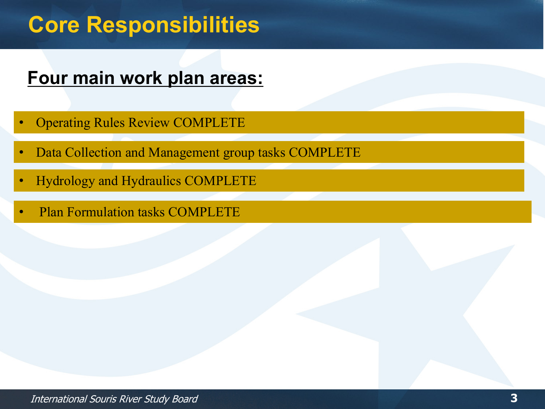# **Core Responsibilities**

#### **Four main work plan areas:**

- Operating Rules Review COMPLETE
- Data Collection and Management group tasks COMPLETE
- Hydrology and Hydraulics COMPLETE
- Plan Formulation tasks COMPLETE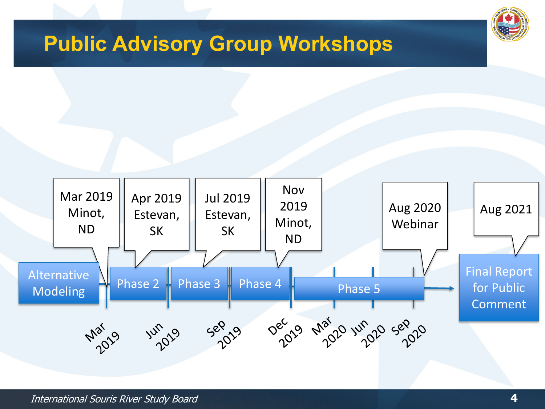#### **Public Advisory Group Workshops**



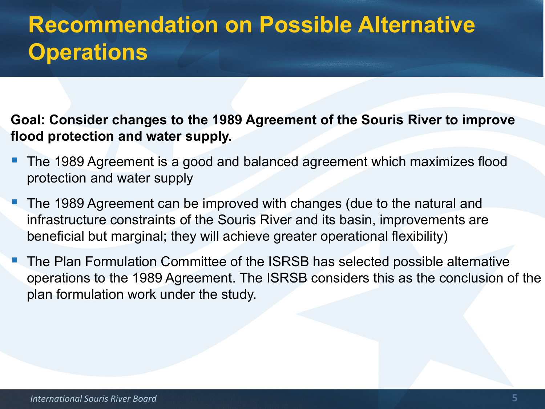# **Recommendation on Possible Alternative Operations**

**Goal: Consider changes to the 1989 Agreement of the Souris River to improve flood protection and water supply.** 

- The 1989 Agreement is a good and balanced agreement which maximizes flood protection and water supply
- The 1989 Agreement can be improved with changes (due to the natural and infrastructure constraints of the Souris River and its basin, improvements are beneficial but marginal; they will achieve greater operational flexibility)
- The Plan Formulation Committee of the ISRSB has selected possible alternative operations to the 1989 Agreement. The ISRSB considers this as the conclusion of the plan formulation work under the study.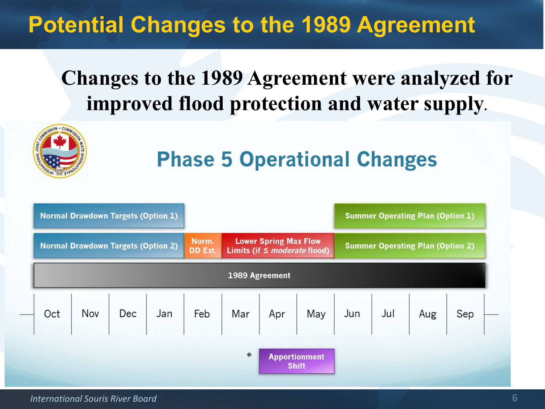# **Potential Changes to the 1989 Agreement**

#### **Changes to the 1989 Agreement were analyzed for improved flood protection and water supply.**



| <b>Normal Drawdown Targets (Option 1)</b> |  |  |  |                         |                                                                   |  |                                                         | <b>Summer Operating Plan (Option 1)</b> |  |  |     |
|-------------------------------------------|--|--|--|-------------------------|-------------------------------------------------------------------|--|---------------------------------------------------------|-----------------------------------------|--|--|-----|
| <b>Normal Drawdown Targets (Option 2)</b> |  |  |  | Norm.<br><b>DD</b> Ext. | <b>Lower Spring Max Flow</b><br>Limits (if $\leq$ moderate flood) |  |                                                         | <b>Summer Operating Plan (Option 2)</b> |  |  |     |
| 1989 Agreement                            |  |  |  |                         |                                                                   |  |                                                         |                                         |  |  |     |
|                                           |  |  |  |                         |                                                                   |  | Oct Nov Dec Jan Feb Mar Apr May Jun Jul Aug $\Big\vert$ |                                         |  |  | Sep |
|                                           |  |  |  |                         | $\ast$                                                            |  | <b>Apportionment</b><br><b>Shift</b>                    |                                         |  |  |     |

*International Souris River Board* **6**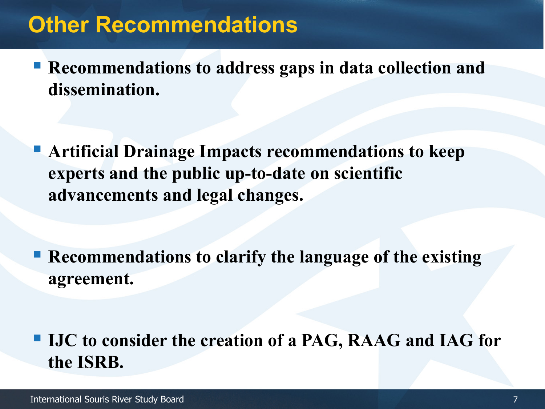#### **Other Recommendations**

**Recommendations to address gaps in data collection and dissemination.**

 **Artificial Drainage Impacts recommendations to keep experts and the public up-to-date on scientific advancements and legal changes.**

 **Recommendations to clarify the language of the existing agreement.**

 **IJC to consider the creation of a PAG, RAAG and IAG for the ISRB.**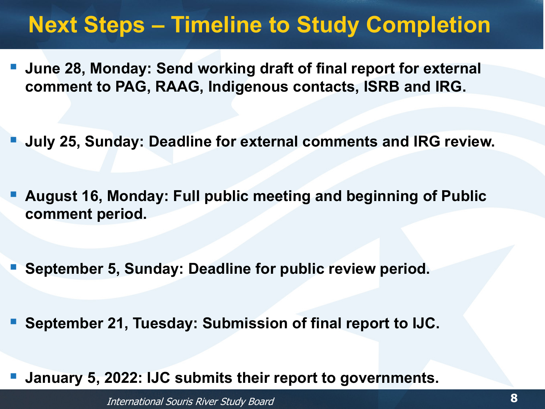# **Next Steps – Timeline to Study Completion**

- **June 28, Monday: Send working draft of final report for external comment to PAG, RAAG, Indigenous contacts, ISRB and IRG.**
- **July 25, Sunday: Deadline for external comments and IRG review.**
- **August 16, Monday: Full public meeting and beginning of Public comment period.**
- **September 5, Sunday: Deadline for public review period.**
- **September 21, Tuesday: Submission of final report to IJC.**
- **January 5, 2022: IJC submits their report to governments.**